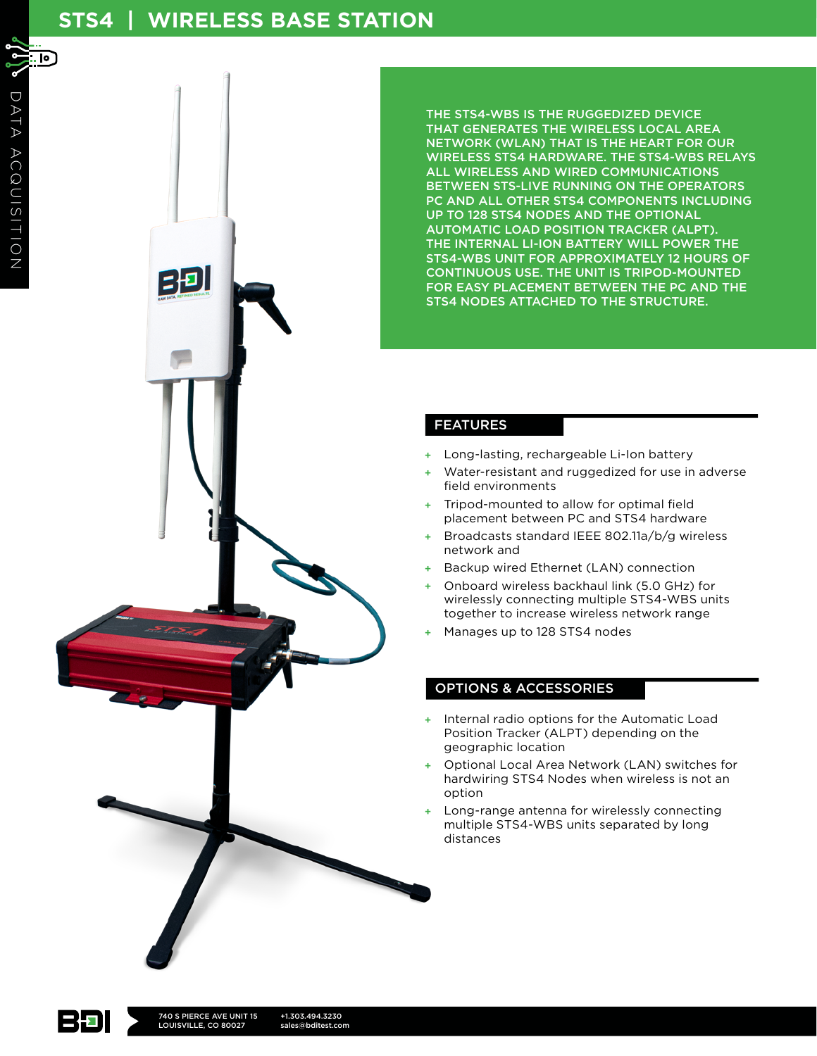## **STS4 | WIRELESS BASE STATION**

. ட **BD** 

THE STS4-WBS IS THE RUGGEDIZED DEVICE THAT GENERATES THE WIRELESS LOCAL AREA NETWORK (WLAN) THAT IS THE HEART FOR OUR WIRELESS STS4 HARDWARE. THE STS4-WBS RELAYS ALL WIRELESS AND WIRED COMMUNICATIONS BETWEEN STS-LIVE RUNNING ON THE OPERATORS PC AND ALL OTHER STS4 COMPONENTS INCLUDING UP TO 128 STS4 NODES AND THE OPTIONAL AUTOMATIC LOAD POSITION TRACKER (ALPT). THE INTERNAL LI-ION BATTERY WILL POWER THE STS4-WBS UNIT FOR APPROXIMATELY 12 HOURS OF CONTINUOUS USE. THE UNIT IS TRIPOD-MOUNTED FOR EASY PLACEMENT BETWEEN THE PC AND THE STS4 NODES ATTACHED TO THE STRUCTURE.

## FEATURES

- Long-lasting, rechargeable Li-Ion battery
- Water-resistant and ruggedized for use in adverse field environments
- Tripod-mounted to allow for optimal field placement between PC and STS4 hardware
- + Broadcasts standard IEEE 802.11a/b/g wireless network and
- Backup wired Ethernet (LAN) connection
- Onboard wireless backhaul link (5.0 GHz) for wirelessly connecting multiple STS4-WBS units together to increase wireless network range
- Manages up to 128 STS4 nodes

## OPTIONS & ACCESSORIES

- + Internal radio options for the Automatic Load Position Tracker (ALPT) depending on the geographic location
- Optional Local Area Network (LAN) switches for hardwiring STS4 Nodes when wireless is not an option
- Long-range antenna for wirelessly connecting multiple STS4-WBS units separated by long distances

 $\mathcal{S}$